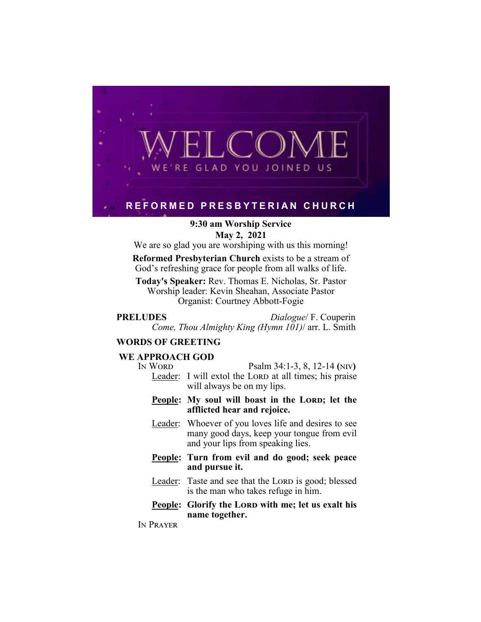

### **9:30 am Worship Service May 2, 2021**

We are so glad you are worshiping with us this morning!

**Reformed Presbyterian Church** exists to be a stream of God's refreshing grace for people from all walks of life.

**Today's Speaker:** Rev. Thomas E. Nicholas, Sr. Pastor Worship leader: Kevin Sheahan, Associate Pastor Organist: Courtney Abbott-Fogie

**PRELUDES** *Dialogue*/ F. Couperin

*Come, Thou Almighty King (Hymn 101)*/ arr. L. Smith

### **WORDS OF GREETING**

# **WE APPROACH GOD**<br>IN WORD

- **Psalm 34:1-3, 8, 12-14 (NIV)** Leader: I will extol the LORD at all times; his praise will always be on my lips.
- **People:** My soul will boast in the LORD; let the **afflicted hear and rejoice.**
- Leader: Whoever of you loves life and desires to see many good days, keep your tongue from evil and your lips from speaking lies.
- **People: Turn from evil and do good; seek peace and pursue it.**
- Leader: Taste and see that the LORD is good; blessed is the man who takes refuge in him.
- **<u>People</u>: Glorify the LORD with me; let us exalt his </u> name together.**

IN PRAYER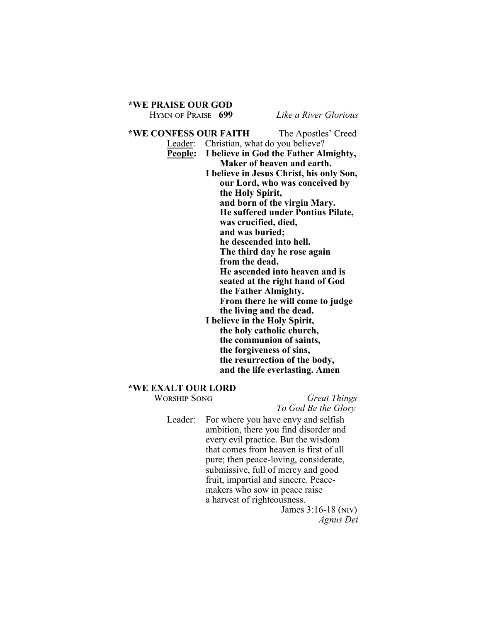### **\*WE PRAISE OUR GOD**

### **\*WE CONFESS OUR FAITH** The Apostles' Creed Leader: Christian, what do you believe? **People: I believe in God the Father Almighty, Maker of heaven and earth. I believe in Jesus Christ, his only Son, our Lord, who was conceived by the Holy Spirit, and born of the virgin Mary. He suffered under Pontius Pilate, was crucified, died, and was buried; he descended into hell. The third day he rose again from the dead. He ascended into heaven and is seated at the right hand of God the Father Almighty. From there he will come to judge the living and the dead. I believe in the Holy Spirit,**

 **the holy catholic church, the communion of saints, the forgiveness of sins, the resurrection of the body, and the life everlasting. Amen**

### **\*WE EXALT OUR LORD**

WORSHIP SONG **Great Things**  *To God Be the Glory*

Leader: For where you have envy and selfish ambition, there you find disorder and every evil practice. But the wisdom that comes from heaven is first of all pure; then peace-loving, considerate, submissive, full of mercy and good fruit, impartial and sincere. Peacemakers who sow in peace raise a harvest of righteousness.

> James  $3:16-18$  (NIV)  *Agnus Dei*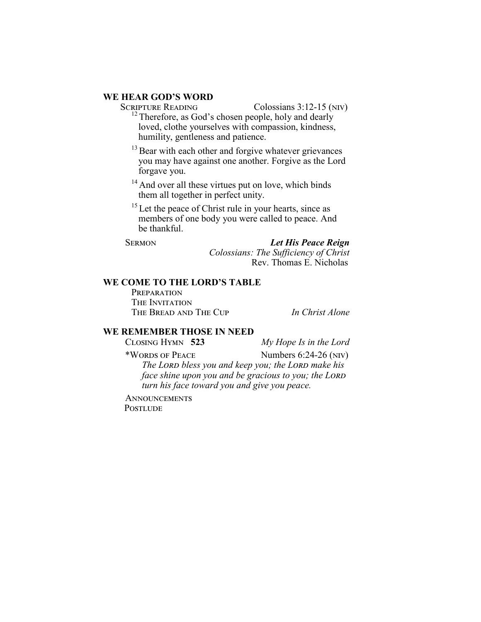### **WE HEAR GOD'S WORD**

SCRIPTURE READING Colossians 3:12-15 (NIV)

 $12$  Therefore, as God's chosen people, holy and dearly loved, clothe yourselves with compassion, kindness, humility, gentleness and patience.

 $13$  Bear with each other and forgive whatever grievances you may have against one another. Forgive as the Lord forgave you.

 $14$  And over all these virtues put on love, which binds them all together in perfect unity.

<sup>15</sup> Let the peace of Christ rule in your hearts, since as members of one body you were called to peace. And be thankful.

### SERMON **Let His Peace Reign**

 *Colossians: The Sufficiency of Christ* Rev. Thomas E. Nicholas

### **WE COME TO THE LORD'S TABLE**

PREPARATION THE INVITATION THE BREAD AND THE CUP *In Christ Alone* 

# **WE REMEMBER THOSE IN NEED**<br>CLOSING HYMN 523

*My Hope Is in the Lord* 

\*WORDS OF PEACE Numbers 6:24-26 (NIV) The LORD bless you and keep you; the LORD make his *face shine upon you and be gracious to you; the LORD turn his face toward you and give you peace.* 

**ANNOUNCEMENTS POSTLUDE**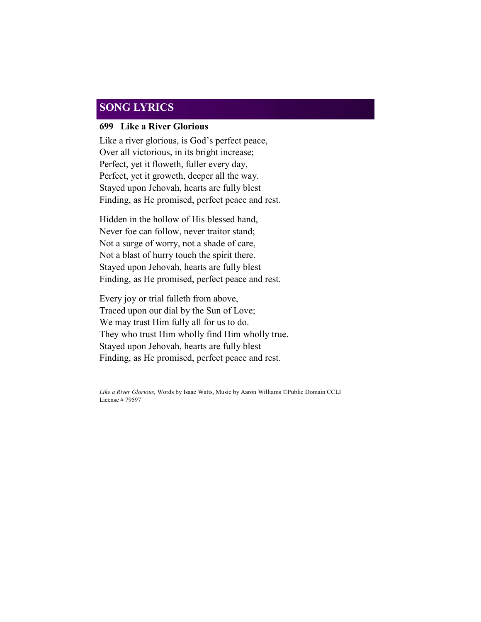## **SONG LYRICS**

### **699 Like a River Glorious**

Like a river glorious, is God's perfect peace, Over all victorious, in its bright increase; Perfect, yet it floweth, fuller every day, Perfect, yet it groweth, deeper all the way. Stayed upon Jehovah, hearts are fully blest Finding, as He promised, perfect peace and rest.

Hidden in the hollow of His blessed hand, Never foe can follow, never traitor stand; Not a surge of worry, not a shade of care, Not a blast of hurry touch the spirit there. Stayed upon Jehovah, hearts are fully blest Finding, as He promised, perfect peace and rest.

Every joy or trial falleth from above, Traced upon our dial by the Sun of Love; We may trust Him fully all for us to do. They who trust Him wholly find Him wholly true. Stayed upon Jehovah, hearts are fully blest Finding, as He promised, perfect peace and rest.

*Like a River Glorious,* Words by Isaac Watts, Music by Aaron Williams ©Public Domain CCLI License # 79597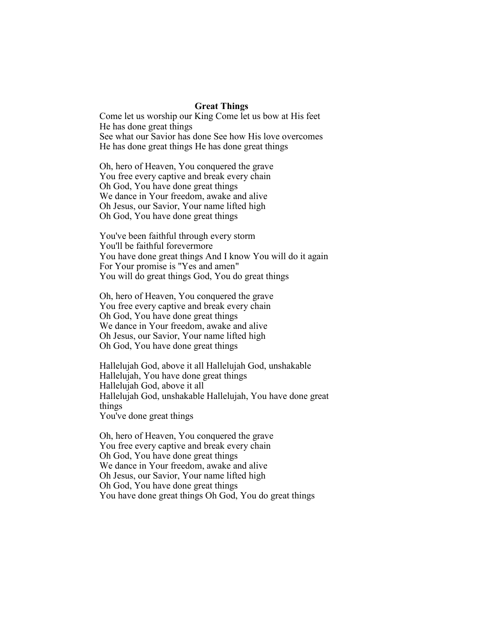### **Great Things**

Come let us worship our King Come let us bow at His feet He has done great things See what our Savior has done See how His love overcomes He has done great things He has done great things

Oh, hero of Heaven, You conquered the grave You free every captive and break every chain Oh God, You have done great things We dance in Your freedom, awake and alive Oh Jesus, our Savior, Your name lifted high Oh God, You have done great things

You've been faithful through every storm You'll be faithful forevermore You have done great things And I know You will do it again For Your promise is "Yes and amen" You will do great things God, You do great things

Oh, hero of Heaven, You conquered the grave You free every captive and break every chain Oh God, You have done great things We dance in Your freedom, awake and alive Oh Jesus, our Savior, Your name lifted high Oh God, You have done great things

Hallelujah God, above it all Hallelujah God, unshakable Hallelujah, You have done great things Hallelujah God, above it all Hallelujah God, unshakable Hallelujah, You have done great things You've done great things

Oh, hero of Heaven, You conquered the grave You free every captive and break every chain Oh God, You have done great things We dance in Your freedom, awake and alive Oh Jesus, our Savior, Your name lifted high Oh God, You have done great things You have done great things Oh God, You do great things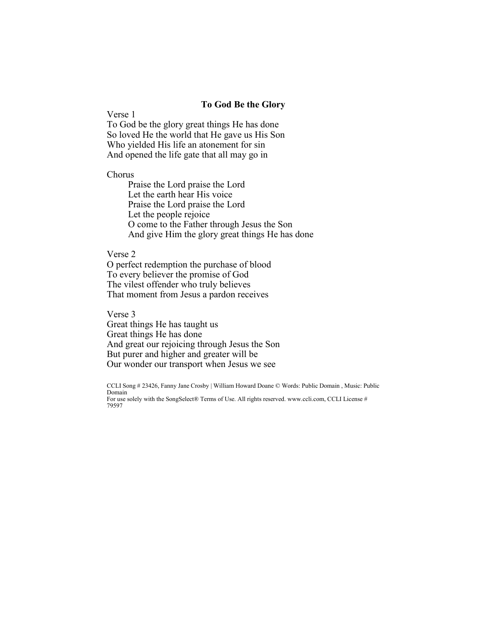### **To God Be the Glory**

Verse 1

To God be the glory great things He has done So loved He the world that He gave us His Son Who yielded His life an atonement for sin And opened the life gate that all may go in

### Chorus

Praise the Lord praise the Lord Let the earth hear His voice Praise the Lord praise the Lord Let the people rejoice O come to the Father through Jesus the Son And give Him the glory great things He has done

### Verse 2

O perfect redemption the purchase of blood To every believer the promise of God The vilest offender who truly believes That moment from Jesus a pardon receives

### Verse 3

Great things He has taught us Great things He has done And great our rejoicing through Jesus the Son But purer and higher and greater will be Our wonder our transport when Jesus we see

CCLI Song # 23426, Fanny Jane Crosby | William Howard Doane © Words: Public Domain , Music: Public Domain For use solely with the SongSelect® Terms of Use. All rights reserved. www.ccli.com, CCLI License # 79597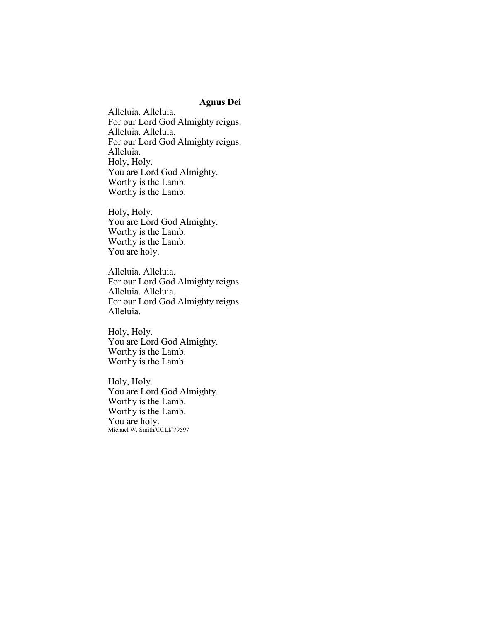### **Agnus Dei**

Alleluia. Alleluia. For our Lord God Almighty reigns. Alleluia. Alleluia. For our Lord God Almighty reigns. Alleluia. Holy, Holy. You are Lord God Almighty. Worthy is the Lamb. Worthy is the Lamb.

Holy, Holy. You are Lord God Almighty. Worthy is the Lamb. Worthy is the Lamb. You are holy.

Alleluia. Alleluia. For our Lord God Almighty reigns. Alleluia. Alleluia. For our Lord God Almighty reigns. Alleluia.

Holy, Holy. You are Lord God Almighty. Worthy is the Lamb. Worthy is the Lamb.

Holy, Holy. You are Lord God Almighty. Worthy is the Lamb. Worthy is the Lamb. You are holy. Michael W. Smith/CCLI#79597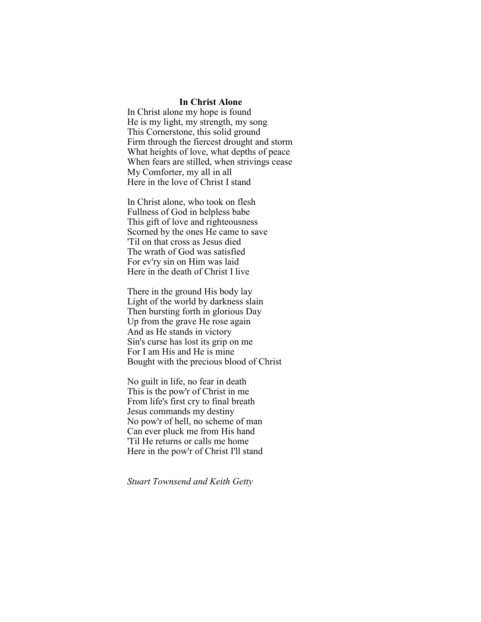### **In Christ Alone**

In Christ alone my hope is found He is my light, my strength, my song This Cornerstone, this solid ground Firm through the fiercest drought and storm What heights of love, what depths of peace When fears are stilled, when strivings cease My Comforter, my all in all Here in the love of Christ I stand

In Christ alone, who took on flesh Fullness of God in helpless babe This gift of love and righteousness Scorned by the ones He came to save 'Til on that cross as Jesus died The wrath of God was satisfied For ev'ry sin on Him was laid Here in the death of Christ I live

There in the ground His body lay Light of the world by darkness slain Then bursting forth in glorious Day Up from the grave He rose again And as He stands in victory Sin's curse has lost its grip on me For I am His and He is mine Bought with the precious blood of Christ

No guilt in life, no fear in death This is the pow'r of Christ in me From life's first cry to final breath Jesus commands my destiny No pow'r of hell, no scheme of man Can ever pluck me from His hand 'Til He returns or calls me home Here in the pow'r of Christ I'll stand

*Stuart Townsend and Keith Getty*